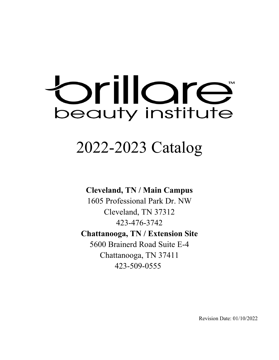# orillore beauty institute

## 2022-2023 Catalog

#### **Cleveland, TN / Main Campus**

1605 Professional Park Dr. NW Cleveland, TN 37312 423-476-3742 **Chattanooga, TN / Extension Site**  5600 Brainerd Road Suite E-4

Chattanooga, TN 37411 423-509-0555

Revision Date: 01/10/2022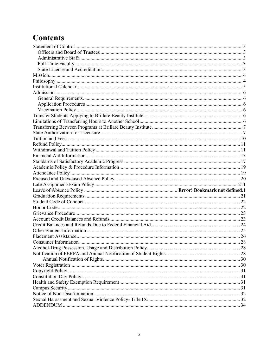### **Contents**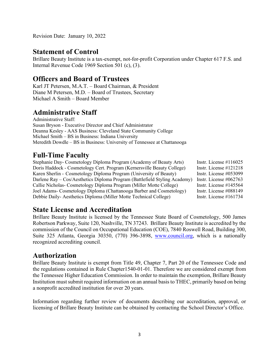Revision Date: January 10, 2022

#### <span id="page-2-0"></span>**Statement of Control**

Brillare Beauty Institute is a tax-exempt, not-for-profit Corporation under Chapter 617 F.S. and Internal Revenue Code 1969 Section 501 (c), (3).

#### <span id="page-2-1"></span>**Officers and Board of Trustees**

Karl JT Petersen, M.A.T. – Board Chairman, & President Diane M Petersen, M.D. – Board of Trustees, Secretary Michael A Smith – Board Member

#### <span id="page-2-2"></span>**Administrative Staff**

Administrative Staff: Susan Bryson - Executive Director and Chief Administrator Deanna Kesley - AAS Business: Cleveland State Community College Michael Smith – BS in Business: Indiana University Meredith Dowdle – BS in Business: University of Tennessee at Chattanooga

#### <span id="page-2-3"></span>**Full-Time Faculty**

Stephanie Day- Cosmetology Diploma Program (Academy of Beauty Arts) Instr. License #116025<br>Doris Haddock - Cosmetology Cert. Program (Kernersville Beauty College) Instr. License #121218 Doris Haddock - Cosmetology Cert. Program (Kernersville Beauty College) Karen Sherlin - Cosmetology Diploma Program (University of Beauty) Instr. License #053099 Darlene Ray – Cos/Aesthetics Diploma Program (Battlefield Styling Academy) Instr. License #062763 Callie Nicholas- Cosmetology Diploma Program (Miller Motte College) Instr. License #145564 Joel Adams- Cosmetology Diploma (Chattanooga Barber and Cosmetology) Instr. License #088149 Debbie Daily- Aesthetics Diploma (Miller Motte Technical College) Instr. License #161734

#### <span id="page-2-4"></span>**State License and Accreditation**

Brillare Beauty Institute is licensed by the Tennessee State Board of Cosmetology, 500 James Robertson Parkway, Suite 120, Nashville, TN 37243. Brillare Beauty Institute is accredited by the commission of the Council on Occupational Education (COE), 7840 Roswell Road, Building 300, Suite 325 Atlanta, Georgia 30350, (770) 396-3898, [www.council.org,](http://www.council.org/) which is a nationally recognized accrediting council.

#### **Authorization**

Brillare Beauty Institute is exempt from Title 49, Chapter 7, Part 20 of the Tennessee Code and the regulations contained in Rule Chapter1540-01-01. Therefore we are considered exempt from the Tennessee Higher Education Commission. In order to maintain the exemption, Brillare Beauty Institution must submit required information on an annual basisto THEC, primarily based on being a nonprofit accredited institution for over 20 years.

Information regarding further review of documents describing our accreditation, approval, or licensing of Brillare Beauty Institute can be obtained by contacting the School Director's Office.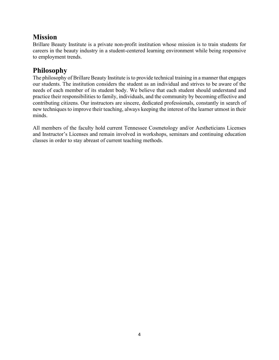#### <span id="page-3-0"></span>**Mission**

Brillare Beauty Institute is a private non-profit institution whose mission is to train students for careers in the beauty industry in a student-centered learning environment while being responsive to employment trends.

#### <span id="page-3-1"></span>**Philosophy**

The philosophy of Brillare Beauty Institute is to provide technical training in a manner that engages our students. The institution considers the student as an individual and strives to be aware of the needs of each member of its student body. We believe that each student should understand and practice their responsibilities to family, individuals, and the community by becoming effective and contributing citizens. Our instructors are sincere, dedicated professionals, constantly in search of new techniques to improve their teaching, always keeping the interest of the learner utmost in their minds.

All members of the faculty hold current Tennessee Cosmetology and/or Aestheticians Licenses and Instructor's Licenses and remain involved in workshops, seminars and continuing education classes in order to stay abreast of current teaching methods.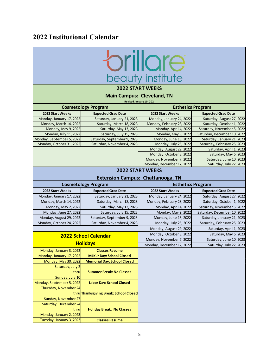#### <span id="page-4-0"></span>**2022 Institutional Calendar**



#### **2022 START WEEKS**

**Main Campus: Cleveland, TN**

**Revised January 10, 202**

| <b>Cosmetology Program</b> |                             |                           | <b>Esthetics Program</b>    |
|----------------------------|-----------------------------|---------------------------|-----------------------------|
| 2022 Start Weeks           | <b>Expected Grad Date</b>   | 2022 Start Weeks          | <b>Expected Grad Date</b>   |
| Monday, January 17, 2022   | Saturday, January 21, 2023  | Monday, January 24, 2022  | Saturday, August 27, 2022   |
| Monday, March 14, 2022     | Saturday, March 18, 2023    | Monday, February 28, 2022 | Saturday, October 1, 2022   |
| Monday, May 9, 2022        | Saturday, May 13, 2023      | Monday, April 4, 2022     | Saturday, November 5, 2022  |
| Monday, July 11, 2022      | Saturday, July 15, 2023     | Monday, May 9, 2022       | Saturday, December 10, 2022 |
| Monday, September 5, 2022  | Saturday, September 9, 2023 | Monday, June 13, 2022     | Saturday, January 21, 2023  |
| Monday, October 31, 2022   | Saturday, November 4, 2023  | Monday, July 25, 2022     | Saturday, February 25, 2023 |
|                            |                             | Monday, August 29, 2022   | Saturday, April 1, 2023     |
|                            |                             | Monday, October 3, 2022   | Saturday, May 6, 2023       |
|                            |                             | Monday, November 7, 2022  | Saturday, June 10, 2023     |
|                            |                             | Monday, December 12, 2022 | Saturday, July 22, 2023     |

#### **2022 START WEEKS**

#### **Extension Campus: Chattanooga, TN**

| <b>Cosmetology Program</b>                   |                                        | <b>Esthetics Program</b>  |                             |
|----------------------------------------------|----------------------------------------|---------------------------|-----------------------------|
| 2022 Start Weeks                             | <b>Expected Grad Date</b>              | 2022 Start Weeks          | <b>Expected Grad Date</b>   |
| Monday, January 17, 2022                     | Saturday, January 21, 2023             | Monday, January 24, 2022  | Saturday, August 27, 2022   |
| Monday, March 14, 2022                       | Saturday, March 18, 2023               | Monday, February 28, 2022 | Saturday, October 1, 2022   |
| Monday, May 2, 2022                          | Saturday, May 13, 2023                 | Monday, April 4, 2022     | Saturday, November 5, 2022  |
| Monday, June 27, 2022                        | Saturday, July 15, 2023                | Monday, May 9, 2022       | Saturday, December 10, 2022 |
| Monday, August 29, 2022                      | Saturday, September 9, 2023            | Monday, June 13, 2022     | Saturday, January 21, 2023  |
| Monday, October 24, 2022                     | Saturday, November 4, 2023             | Monday, July 25, 2022     | Saturday, February 25, 2023 |
|                                              |                                        | Monday, August 29, 2022   | Saturday, April 1, 2023     |
|                                              | <b>2022 School Calendar</b>            | Monday, October 3, 2022   | Saturday, May 6, 2023       |
|                                              | Monday, November 7, 2022               |                           | Saturday, June 10, 2023     |
| <b>Holidays</b><br>Monday, December 12, 2022 |                                        | Saturday, July 22, 2023   |                             |
| Monday, January 3, 2022                      | <b>Classes Resume</b>                  |                           |                             |
| Monday, January 17, 2022                     | <b>MLK Jr Day: School Closed</b>       |                           |                             |
| Monday, May 30, 2022                         | <b>Memorial Day: School Closed</b>     |                           |                             |
| Saturday, July 2                             |                                        |                           |                             |
| thru                                         | <b>Summer Break: No Classes</b>        |                           |                             |
| Sunday, July 10                              |                                        |                           |                             |
| Monday, September 5, 2022                    | <b>Labor Day: School Closed</b>        |                           |                             |
| Thursday, November 24                        |                                        |                           |                             |
|                                              | thru Thanksgiving Break: School Closed |                           |                             |
| Sunday, November 27                          |                                        |                           |                             |
| Saturday, December 24                        |                                        |                           |                             |
| thru                                         | <b>Holiday Break: No Classes</b>       |                           |                             |
| Monday, January 2, 2023                      |                                        |                           |                             |
| Tuesday, January 3, 2023                     | <b>Classes Resume</b>                  |                           |                             |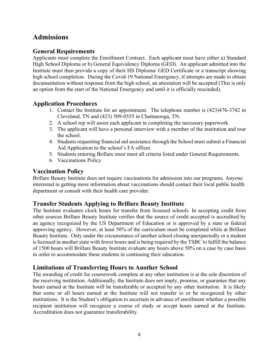#### <span id="page-5-0"></span>**Admissions**

#### <span id="page-5-1"></span>**General Requirements**

Applicants must complete the Enrollment Contract. Each applicant must have either a) Standard High School Diploma or b) General Equivalency Diploma (GED). An applicant admitted into the Institute must then provide a copy of their HS Diploma/ GED Certificate or a transcript showing high school completion. During the Covid-19 National Emergency, if attempts are made to obtain documentation without response from the high school, an attestation will be accepted (This is only an option from the start of the National Emergency and until it is officially rescinded).

#### <span id="page-5-2"></span>**Application Procedures**

- 1. Contact the Institute for an appointment. The telephone number is (423)476-3742 in Cleveland, TN and (423) 509-0555 in Chattanooga, TN.
- 2. A school rep will assist each applicant in completing the necessary paperwork.
- 3. The applicant will have a personal interview with a member of the institution and tour the school.
- 4. Students requesting financial aid assistance through the School must submit a Financial Aid Application to the school's FA officer.
- 5. Students entering Brillare must meet all criteria listed under General Requirements.
- 6. Vaccinations Policy

#### <span id="page-5-3"></span>**Vaccination Policy**

Brillare Beauty Institute does not require vaccinations for admission into our programs. Anyone interested in getting more information about vaccinations should contact their local public health department or consult with their health care provider.

#### <span id="page-5-4"></span>**Transfer Students Applying to Brillare Beauty Institute**

The Institute evaluates clock hours for transfer from licensed schools. In accepting credit from other sources Brillare Beauty Institute verifies that the source of credit accepted is accredited by an agency recognized by the US Department of Education or is approved by a state or federal approving agency. However, at least 50% of the curriculum must be completed while at Brillare Beauty Institute. Only under the circumstance of another school closing unexpectedly or a student is licensed in another state with fewer hours and is being required by the TSBC to fulfill the balance of 1500 hours will Brillare Beauty Institute evaluate any hours above 50% on a case by case basis in order to accommodate these students in continuing their education.

#### <span id="page-5-5"></span>**Limitations of Transferring Hours to Another School**

The awarding of credit for coursework complete at any other institution is at the sole discretion of the receiving institution. Additionally, the Institute does not imply, promise, or guarantee that any hours earned at the Institute will be transferable or accepted by any other institution. It is likely that some or all hours earned at the Institute will not transfer to or be recognized by other institutions. It is the Student's obligation to ascertain in advance of enrollment whether a possible recipient institution will recognize a course of study or accept hours earned at the Institute. Accreditation does not guarantee transferability.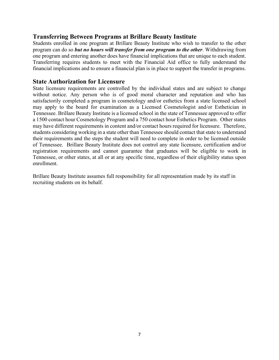#### <span id="page-6-0"></span>**Transferring Between Programs at Brillare Beauty Institute**

Students enrolled in one program at Brillare Beauty Institute who wish to transfer to the other program can do so *but no hours will transfer from one program to the other*. Withdrawing from one program and entering another does have financial implications that are unique to each student. Transferring requires students to meet with the Financial Aid office to fully understand the financial implications and to ensure a financial plan is in place to support the transfer in programs.

#### <span id="page-6-1"></span>**State Authorization for Licensure**

State licensure requirements are controlled by the individual states and are subject to change without notice. Any person who is of good moral character and reputation and who has satisfactorily completed a program in cosmetology and/or esthetics from a state licensed school may apply to the board for examination as a Licensed Cosmetologist and/or Esthetician in Tennessee. Brillare Beauty Institute is a licensed school in the state of Tennessee approved to offer a 1500 contact hour Cosmetology Program and a 750 contact hour Esthetics Program. Other states may have different requirements in content and/or contact hours required for licensure. Therefore, students considering working in a state other than Tennessee should contact that state to understand their requirements and the steps the student will need to complete in order to be licensed outside of Tennessee. Brillare Beauty Institute does not control any state licensure, certification and/or registration requirements and cannot guarantee that graduates will be eligible to work in Tennessee, or other states, at all or at any specific time, regardless of their eligibility status upon enrollment.

Brillare Beauty Institute assumes full responsibility for all representation made by its staff in recruiting students on its behalf.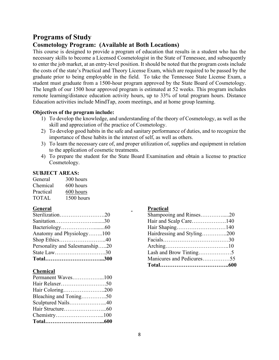#### **Programs of Study**

#### **Cosmetology Program: (Available at Both Locations)**

This course is designed to provide a program of education that results in a student who has the necessary skills to become a Licensed Cosmetologist in the State of Tennessee, and subsequently to enter the job market, at an entry-level position. It should be noted that the program costs include the costs of the state's Practical and Theory License Exam, which are required to be passed by the graduate prior to being employable in the field. To take the Tennessee State License Exam, a student must graduate from a 1500-hour program approved by the State Board of Cosmetology. The length of our 1500 hour approved program is estimated at 52 weeks. This program includes remote learning/distance education activity hours, up to 33% of total program hours. Distance Education activities include MindTap, zoom meetings, and at home group learning.

#### **Objectives of the program include:**

- 1) To develop the knowledge, and understanding of the theory of Cosmetology, as well as the skill and appreciation of the practice of Cosmetology.
- 2) To develop good habits in the safe and sanitary performance of duties, and to recognize the importance of these habits in the interest of self, as well as others.
- 3) To learn the necessary care of, and proper utilization of, supplies and equipment in relation to the application of cosmetic treatments.
- 4) To prepare the student for the State Board Examination and obtain a license to practice Cosmetology.

#### **SUBJECT AREAS:**

| General      | 300 hours  |
|--------------|------------|
| Chemical     | 600 hours  |
| Practical    | 600 hours  |
| <b>TOTAL</b> | 1500 hours |

| Sterilization20                |  |
|--------------------------------|--|
| Sanitation30                   |  |
|                                |  |
| Anatomy and Physiology100      |  |
|                                |  |
| Personality and Salesmanship20 |  |
| State Law30                    |  |
|                                |  |

#### **Chemical**

| Permanent Waves100     |  |
|------------------------|--|
|                        |  |
| Hair Coloring200       |  |
| Bleaching and Toning50 |  |
| Sculptured Nails40     |  |
|                        |  |
|                        |  |
|                        |  |

#### **General Practical**

| Sterilization20                | Shampooing and Rinses20     |  |
|--------------------------------|-----------------------------|--|
| Sanitation30                   |                             |  |
|                                |                             |  |
| Anatomy and Physiology100      | Hairdressing and Styling200 |  |
| Shop Ethics40                  |                             |  |
| Personality and Salesmanship20 |                             |  |
| State Law30                    |                             |  |
| Total300                       | Manicures and Pedicures55   |  |
|                                |                             |  |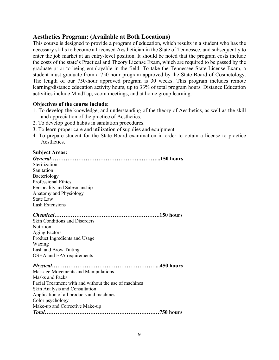#### **Aesthetics Program: (Available at Both Locations)**

This course is designed to provide a program of education, which results in a student who has the necessary skills to become a Licensed Aesthetician in the State of Tennessee, and subsequently to enter the job market at an entry-level position. It should be noted that the program costs include the costs of the state's Practical and Theory License Exam, which are required to be passed by the graduate prior to being employable in the field. To take the Tennessee State License Exam, a student must graduate from a 750-hour program approved by the State Board of Cosmetology. The length of our 750-hour approved program is 30 weeks. This program includes remote learning/distance education activity hours, up to 33% of total program hours. Distance Education activities include MindTap, zoom meetings, and at home group learning.

#### **Objectives of the course include:**

- 1. To develop the knowledge, and understanding of the theory of Aesthetics, as well as the skill and appreciation of the practice of Aesthetics.
- 2. To develop good habits in sanitation procedures.
- 3. To learn proper care and utilization of supplies and equipment
- 4. To prepare student for the State Board examination in order to obtain a license to practice Aesthetics.

#### **Subject Areas:**

| Sterilization                                         |
|-------------------------------------------------------|
| Sanitation                                            |
| Bacteriology                                          |
| <b>Professional Ethics</b>                            |
| Personality and Salesmanship                          |
| Anatomy and Physiology                                |
| State Law                                             |
| <b>Lash Extensions</b>                                |
|                                                       |
|                                                       |
| Skin Conditions and Disorders                         |
| Nutrition                                             |
| <b>Aging Factors</b>                                  |
| Product Ingredients and Usage                         |
| Waxing                                                |
| Lash and Brow Tinting                                 |
| OSHA and EPA requirements                             |
|                                                       |
| Massage Movements and Manipulations                   |
| Masks and Packs                                       |
| Facial Treatment with and without the use of machines |
| Skin Analysis and Consultation                        |
| Application of all products and machines              |
| Color psychology                                      |
| Make-up and Corrective Make-up                        |
|                                                       |
|                                                       |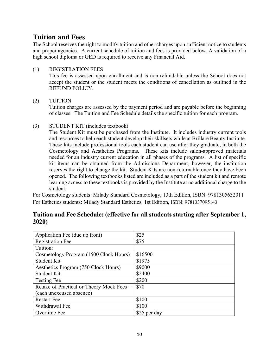#### <span id="page-9-0"></span>**Tuition and Fees**

The School reserves the right to modify tuition and other charges upon sufficient notice to students and proper agencies. A current schedule of tuition and fees is provided below. A validation of a high school diploma or GED is required to receive any Financial Aid.

#### (1) REGISTRATION FEES

This fee is assessed upon enrollment and is non-refundable unless the School does not accept the student or the student meets the conditions of cancellation as outlined in the REFUND POLICY.

#### (2) TUITION

Tuition charges are assessed by the payment period and are payable before the beginning of classes. The Tuition and Fee Schedule details the specific tuition for each program.

(3) STUDENT KIT (includes textbook)

The Student Kit must be purchased from the Institute. It includes industry current tools and resources to help each student develop their skillsets while at Brillare Beauty Institute. These kits include professional tools each student can use after they graduate, in both the Cosmetology and Aesthetics Programs. These kits include salon-approved materials needed for an industry current education in all phases of the programs. A list of specific kit items can be obtained from the Admissions Department, however, the institution reserves the right to change the kit. Student Kits are non-returnable once they have been opened. The following textbooks listed are included as a part of the student kit and remote learning access to these textbooks is provided by the Institute at no additional charge to the student.

For Cosmetology students: Milady Standard Cosmetology, 13th Edition, ISBN: 9781305632011 For Esthetics students: Milady Standard Esthetics, 1st Edition, ISBN: 9781337095143

| Application Fee (due up front)            | \$25         |
|-------------------------------------------|--------------|
| <b>Registration Fee</b>                   | \$75         |
| Tuition:                                  |              |
| Cosmetology Program (1500 Clock Hours)    | \$16500      |
| Student Kit                               | \$1975       |
| Aesthetics Program (750 Clock Hours)      | \$9000       |
| Student Kit                               | \$2400       |
| <b>Testing Fee</b>                        | \$200        |
| Retake of Practical or Theory Mock Fees – | \$70         |
| (each unexcused absence)                  |              |
| <b>Restart Fee</b>                        | \$100        |
| Withdrawal Fee                            | \$100        |
| Overtime Fee                              | \$25 per day |

#### **Tuition and Fee Schedule: (effective for all students starting after September 1, 2020)**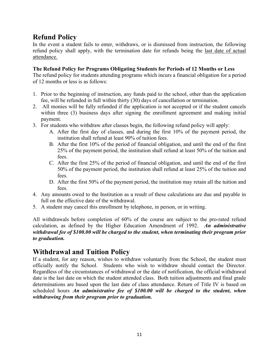#### <span id="page-10-0"></span>**Refund Policy**

In the event a student fails to enter, withdraws, or is dismissed from instruction, the following refund policy shall apply, with the termination date for refunds being the last date of actual attendance.

#### **The Refund Policy for Programs Obligating Students for Periods of 12 Months or Less**

The refund policy for students attending programs which incurs a financial obligation for a period of 12 months or less is as follows:

- 1. Prior to the beginning of instruction, any funds paid to the school, other than the application fee, will be refunded in full within thirty (30) days of cancellation or termination.
- 2. All monies will be fully refunded if the application is not accepted or if the student cancels within three (3) business days after signing the enrollment agreement and making initial payment.
- 3. For students who withdraw after classes begin, the following refund policy will apply:
	- A. After the first day of classes, and during the first 10% of the payment period, the institution shall refund at least 90% of tuition fees.
	- B. After the first 10% of the period of financial obligation, and until the end of the first 25% of the payment period, the institution shall refund at least 50% of the tuition and fees.
	- C. After the first 25% of the period of financial obligation, and until the end of the first 50% of the payment period, the institution shall refund at least 25% of the tuition and fees.
	- D. After the first 50% of the payment period, the institution may retain all the tuition and fees.
- 4. Any amounts owed to the Institution as a result of these calculations are due and payable in full on the effective date of the withdrawal.
- 5. A student may cancel this enrollment by telephone, in person, or in writing.

All withdrawals before completion of 60% of the course are subject to the pro-rated refund calculation, as defined by the Higher Education Amendment of 1992. *An administrative withdrawal fee of \$100.00 will be charged to the student, when terminating their program prior to graduation.* 

#### <span id="page-10-1"></span>**Withdrawal and Tuition Policy**

If a student, for any reason, wishes to withdraw voluntarily from the School, the student must officially notify the School. Students who wish to withdraw should contact the Director. Regardless of the circumstances of withdrawal or the date of notification, the official withdrawal date is the last date on which the student attended class. Both tuition adjustments and final grade determinations are based upon the last date of class attendance. Return of Title IV is based on scheduled hours *An administrative fee of \$100.00 will be charged to the student, when withdrawing from their program prior to graduation.*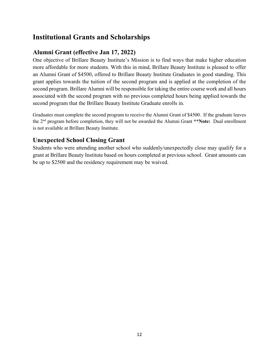#### **Institutional Grants and Scholarships**

#### **Alumni Grant (effective Jan 17, 2022)**

One objective of Brillare Beauty Institute's Mission is to find ways that make higher education more affordable for more students. With this in mind, Brillare Beauty Institute is pleased to offer an Alumni Grant of \$4500, offered to Brillare Beauty Institute Graduates in good standing. This grant applies towards the tuition of the second program and is applied at the completion of the second program. Brillare Alumni will be responsible for taking the entire course work and all hours associated with the second program with no previous completed hours being applied towards the second program that the Brillare Beauty Institute Graduate enrolls in.

Graduates must complete the second program to receive the Alumni Grant of \$4500. If the graduate leaves the 2 nd program before completion, they will not be awarded the Alumni Grant **\*\*Note:** Dual enrollment is not available at Brillare Beauty Institute.

#### **Unexpected School Closing Grant**

Students who were attending another school who suddenly/unexpectedly close may qualify for a grant at Brillare Beauty Institute based on hours completed at previous school. Grant amounts can be up to \$2500 and the residency requirement may be waived.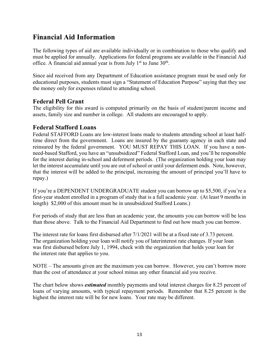#### <span id="page-12-0"></span>**Financial Aid Information**

The following types of aid are available individually or in combination to those who qualify and must be applied for annually. Applications for federal programs are available in the Financial Aid office. A financial aid annual year is from July  $1<sup>st</sup>$  to June  $30<sup>th</sup>$ .

Since aid received from any Department of Education assistance program must be used only for educational purposes, students must sign a "Statement of Education Purpose" saying that they use the money only for expenses related to attending school.

#### **Federal Pell Grant**

The eligibility for this award is computed primarily on the basis of student/parent income and assets, family size and number in college. All students are encouraged to apply.

#### **Federal Stafford Loans**

Federal STAFFORD Loans are low-interest loans made to students attending school at least halftime direct from the government. Loans are insured by the guaranty agency in each state and reinsured by the federal government. YOU MUST REPAY THIS LOAN. If you have a nonneed-based Stafford, you have an "unsubsidized" Federal Stafford Loan, and you'll be responsible for the interest during in-school and deferment periods. (The organization holding your loan may let the interest accumulate until you are out of school or until your deferment ends. Note, however, that the interest will be added to the principal, increasing the amount of principal you'll have to repay.)

If you're a DEPENDENT UNDERGRADUATE student you can borrow up to \$5,500, if you're a first-year student enrolled in a program of study that is a full academic year. (At least 9 months in length) \$2,000 of this amount must be in unsubsidized Stafford Loans.)

For periods of study that are less than an academic year, the amounts you can borrow will be less than those above. Talk to the Financial Aid Department to find out how much you can borrow.

The interest rate for loans first disbursed after 7/1/2021 will be at a fixed rate of 3.73 percent. The organization holding your loan will notify you of laterinterest rate changes. If your loan was first disbursed before July 1, 1994, check with the organization that holds your loan for the interest rate that applies to you.

NOTE – The amounts given are the maximum you can borrow. However, you can't borrow more than the cost of attendance at your school minus any other financial aid you receive.

The chart below shows *estimated* monthly payments and total interest charges for 8.25 percent of loans of varying amounts, with typical repayment periods. Remember that 8.25 percent is the highest the interest rate will be for new loans. Your rate may be different.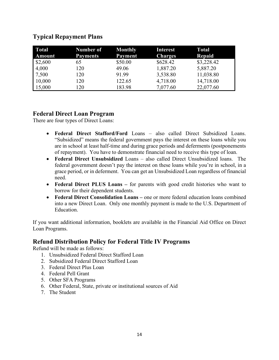#### **Typical Repayment Plans**

| <b>Total</b> | Number of       | <b>Monthly</b> | <b>Interest</b> | Total      |
|--------------|-----------------|----------------|-----------------|------------|
| Amount       | <b>Payments</b> | Payment        | <b>Charges</b>  | Repaid     |
| \$2,600      | 65              | \$50.00        | \$628.42        | \$3,228.42 |
| 4,000        | 120             | 49.06          | 1,887.20        | 5,887.20   |
| 7,500        | 120             | 91.99          | 3,538.80        | 11,038.80  |
| 10,000       | 120             | 122.65         | 4,718.00        | 14,718.00  |
| 15,000       | 120             | 183.98         | 7,077.60        | 22,077.60  |

#### **Federal Direct Loan Program**

There are four types of Direct Loans:

- **Federal Direct Stafford/Ford** Loans also called Direct Subsidized Loans. "Subsidized" means the federal government pays the interest on these loans while you are in school at least half-time and during grace periods and deferments (postponements of repayment). You have to demonstrate financial need to receive this type of loan.
- **Federal Direct Unsubsidized** Loans also called Direct Unsubsidized loans. The federal government doesn't pay the interest on these loans while you're in school, in a grace period, or in deferment. You can get an Unsubsidized Loan regardless of financial need.
- **Federal Direct PLUS Loans** for parents with good credit histories who want to borrow for their dependent students.
- **Federal Direct Consolidation Loans –** one or more federal education loans combined into a new Direct Loan. Only one monthly payment is made to the U.S. Department of Education.

If you want additional information, booklets are available in the Financial Aid Office on Direct Loan Programs.

#### **Refund Distribution Policy for Federal Title IV Programs**

Refund will be made as follows:

- 1. Unsubsidized Federal Direct Stafford Loan
- 2. Subsidized Federal Direct Stafford Loan
- 3. Federal Direct Plus Loan
- 4. Federal Pell Grant
- 5. Other SFA Programs
- 6. Other Federal, State, private or institutional sources of Aid
- 7. The Student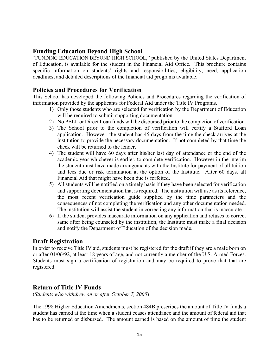#### **Funding Education Beyond High School**

"FUNDING EDUCATION BEYOND HIGH SCHOOL," published by the United States Department of Education, is available for the student in the Financial Aid Office. This brochure contains specific information on students' rights and responsibilities, eligibility, need, application deadlines, and detailed descriptions of the financial aid programs available.

#### **Policies and Procedures for Verification**

This School has developed the following Policies and Procedures regarding the verification of information provided by the applicants for Federal Aid under the Title IV Programs.

- 1) Only those students who are selected for verification by the Department of Education will be required to submit supporting documentation.
- 2) No PELL or Direct Loan funds will be disbursed prior to the completion of verification.
- 3) The School prior to the completion of verification will certify a Stafford Loan application. However, the student has 45 days from the time the check arrives at the institution to provide the necessary documentation. If not completed by that time the check will be returned to the lender.
- 4) The student will have 60 days after his/her last day of attendance or the end of the academic year whichever is earlier, to complete verification. However in the interim the student must have made arrangements with the Institute for payment of all tuition and fees due or risk termination at the option of the Institute. After 60 days, all Financial Aid that might have been due is forfeited.
- 5) All students will be notified on a timely basis if they have been selected for verification and supporting documentation that is required. The institution will use as its reference, the most recent verification guide supplied by the time parameters and the consequences of not completing the verification and any other documentation needed. The institution will assist the student in correcting any information that is inaccurate.
- 6) If the student provides inaccurate information on any application and refuses to correct same after being counseled by the institution, the Institute must make a final decision and notify the Department of Education of the decision made.

#### **Draft Registration**

In order to receive Title IV aid, students must be registered for the draft if they are a male born on or after 01/06/92, at least 18 years of age, and not currently a member of the U.S. Armed Forces. Students must sign a certification of registration and may be required to prove that that are registered.

#### **Return of Title IV Funds**

(*Students who withdrew on or after October 7, 2000*)

The 1998 Higher Education Amendments, section 484B prescribes the amount of Title IV funds a student has earned at the time when a student ceases attendance and the amount of federal aid that has to be returned or disbursed. The amount earned is based on the amount of time the student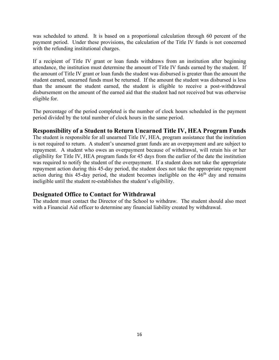was scheduled to attend. It is based on a proportional calculation through 60 percent of the payment period. Under these provisions, the calculation of the Title IV funds is not concerned with the refunding institutional charges.

If a recipient of Title IV grant or loan funds withdraws from an institution after beginning attendance, the institution must determine the amount of Title IV funds earned by the student. If the amount of Title IV grant or loan funds the student was disbursed is greater than the amount the student earned, unearned funds must be returned. If the amount the student was disbursed is less than the amount the student earned, the student is eligible to receive a post-withdrawal disbursement on the amount of the earned aid that the student had not received but was otherwise eligible for.

The percentage of the period completed is the number of clock hours scheduled in the payment period divided by the total number of clock hours in the same period.

#### **Responsibility of a Student to Return Unearned Title IV, HEA Program Funds**

The student is responsible for all unearned Title IV, HEA, program assistance that the institution is not required to return. A student's unearned grant funds are an overpayment and are subject to repayment. A student who owes an overpayment because of withdrawal, will retain his or her eligibility for Title IV, HEA program funds for 45 days from the earlier of the date the institution was required to notify the student of the overpayment. If a student does not take the appropriate repayment action during this 45-day period, the student does not take the appropriate repayment action during this 45-day period, the student becomes ineligible on the  $46<sup>th</sup>$  day and remains ineligible until the student re-establishes the student's eligibility.

#### **Designated Office to Contact for Withdrawal**

The student must contact the Director of the School to withdraw. The student should also meet with a Financial Aid officer to determine any financial liability created by withdrawal.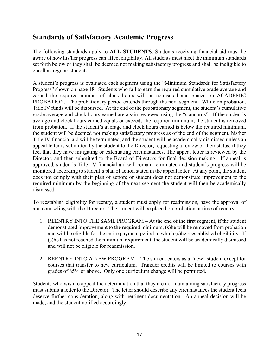#### <span id="page-16-0"></span>**Standards of Satisfactory Academic Progress**

The following standards apply to **ALL STUDENTS**. Students receiving financial aid must be aware of how his/her progress can affect eligibility. All students must meet the minimum standards set forth below or they shall be deemed not making satisfactory progress and shall be ineligible to enroll as regular students.

A student's progress is evaluated each segment using the "Minimum Standards for Satisfactory Progress" shown on page 18. Students who fail to earn the required cumulative grade average and earned the required number of clock hours will be counseled and placed on ACADEMIC PROBATION. The probationary period extends through the next segment. While on probation, Title IV funds will be disbursed. At the end of the probationary segment, the student's cumulative grade average and clock hours earned are again reviewed using the "standards". If the student's average and clock hours earned equals or exceeds the required minimum, the student is removed from probation. If the student's average and clock hours earned is below the required minimum, the student will be deemed not making satisfactory progress as of the end of the segment, his/her Title IV financial aid will be terminated, and the student will be academically dismissed unless an appeal letter is submitted by the student to the Director, requesting a review of their status, if they feel that they have mitigating or extenuating circumstances. The appeal letter is reviewed by the Director, and then submitted to the Board of Directors for final decision making. If appeal is approved, student's Title 1V financial aid will remain terminated and student's progress will be monitored according to student's plan of action stated in the appeal letter. At any point, the student does not comply with their plan of action; or student does not demonstrate improvement to the required minimum by the beginning of the next segment the student will then be academically dismissed.

To reestablish eligibility for reentry, a student must apply for readmission, have the approval of and counseling with the Director. The student will be placed on probation at time of reentry.

- 1. REENTRY INTO THE SAME PROGRAM At the end of the first segment, if the student demonstrated improvement to the required minimum, (s)he will be removed from probation and will be eligible for the entire payment period in which (s)he reestablished eligibility. If (s)he has not reached the minimum requirement, the student will be academically dismissed and will not be eligible for readmission.
- 2. REENTRY INTO A NEW PROGRAM The student enters as a "new" student except for courses that transfer to new curriculum. Transfer credits will be limited to courses with grades of 85% or above. Only one curriculum change will be permitted.

Students who wish to appeal the determination that they are not maintaining satisfactory progress must submit a letter to the Director. The letter should describe any circumstances the student feels deserve further consideration, along with pertinent documentation. An appeal decision will be made, and the student notified accordingly.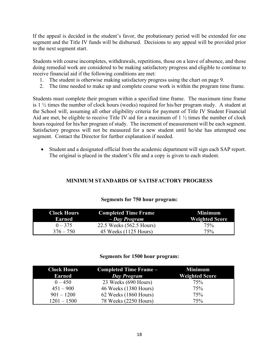If the appeal is decided in the student's favor, the probationary period will be extended for one segment and the Title IV funds will be disbursed. Decisions to any appeal will be provided prior to the next segment start.

Students with course incompletes, withdrawals, repetitions, those on a leave of absence, and those doing remedial work are considered to be making satisfactory progress and eligible to continue to receive financial aid if the following conditions are met:

- 1. The student is otherwise making satisfactory progress using the chart on page 9.
- 2. The time needed to make up and complete course work is within the program time frame.

Students must complete their program within a specified time frame. The maximum time frame is 1 ½ times the number of clock hours (weeks) required for his/her program study. A student at the School will, assuming all other eligibility criteria for payment of Title IV Student Financial Aid are met, be eligible to receive Title IV aid for a maximum of 1 ½ times the number of clock hours required for his/her program of study. The increment of measurement will be each segment. Satisfactory progress will not be measured for a new student until he/she has attempted one segment. Contact the Director for further explanation if needed.

• Student and a designated official from the academic department will sign each SAP report. The original is placed in the student's file and a copy is given to each student.

#### **MINIMUM STANDARDS OF SATISFACTORY PROGRESS**

| <b>Clock Hours</b><br>Earned | <b>Completed Time Frame</b><br>- Day Program | Minimum<br><b>Weighted Score</b> |
|------------------------------|----------------------------------------------|----------------------------------|
| $0 - 375$                    | 22.5 Weeks (562.5 Hours)                     | 75%                              |
| $376 - 750$                  | 45 Weeks (1125 Hours)                        | 75%                              |

#### **Segments for 750 hour program:**

#### **Segments for 1500 hour program:**

| <b>Clock Hours</b><br><b>Earned</b> | Completed Time Frame -<br>Day Program | <b>Minimum</b><br><b>Weighted Score</b> |
|-------------------------------------|---------------------------------------|-----------------------------------------|
| $0 - 450$                           | 23 Weeks (690 Hours)                  | 75%                                     |
| $451 - 900$                         | 46 Weeks (1380 Hours)                 | 75%                                     |
| $901 - 1200$                        | 62 Weeks (1860 Hours)                 | 75%                                     |
| $1201 - 1500$                       | 78 Weeks (2250 Hours)                 | 75%                                     |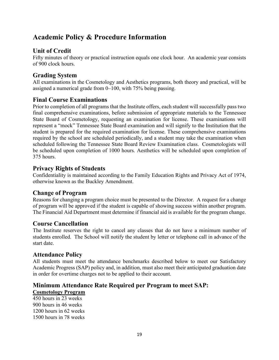#### <span id="page-18-0"></span>**Academic Policy & Procedure Information**

#### **Unit of Credit**

Fifty minutes of theory or practical instruction equals one clock hour. An academic year consists of 900 clock hours.

#### **Grading System**

All examinations in the Cosmetology and Aesthetics programs, both theory and practical, will be assigned a numerical grade from 0–100, with 75% being passing.

#### **Final Course Examinations**

Prior to completion of all programs that the Institute offers, each student will successfully pass two final comprehensive examinations, before submission of appropriate materials to the Tennessee State Board of Cosmetology, requesting an examination for license. These examinations will represent a "mock" Tennessee State Board examination and will signify to the Institution that the student is prepared for the required examination for license. These comprehensive examinations required by the school are scheduled periodically, and a student may take the examination when scheduled following the Tennessee State Board Review Examination class. Cosmetologists will be scheduled upon completion of 1000 hours. Aesthetics will be scheduled upon completion of 375 hours.

#### **Privacy Rights of Students**

Confidentiality is maintained according to the Family Education Rights and Privacy Act of 1974, otherwise known as the Buckley Amendment.

#### **Change of Program**

Reasons for changing a program choice must be presented to the Director. A request for a change of program will be approved if the student is capable of showing success within another program. The Financial Aid Department must determine if financial aid is available for the program change.

#### **Course Cancellation**

The Institute reserves the right to cancel any classes that do not have a minimum number of students enrolled. The School will notify the student by letter or telephone call in advance of the start date.

#### <span id="page-18-1"></span>**Attendance Policy**

All students must meet the attendance benchmarks described below to meet our Satisfactory Academic Progress (SAP) policy and, in addition, must also meet their anticipated graduation date in order for overtime charges not to be applied to their account.

#### **Minimum Attendance Rate Required per Program to meet SAP:**

#### **Cosmetology Program**

450 hours in 23 weeks 900 hours in 46 weeks 1200 hours in 62 weeks 1500 hours in 78 weeks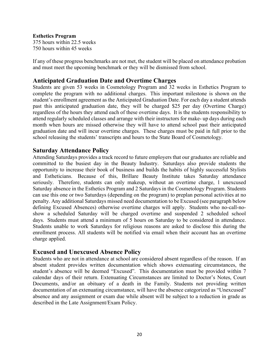#### **Esthetics Program**

375 hours within 22.5 weeks 750 hours within 45 weeks

If any of these progress benchmarks are not met, the student will be placed on attendance probation and must meet the upcoming benchmark or they will be dismissed from school.

#### **Anticipated Graduation Date and Overtime Charges**

Students are given 53 weeks in Cosmetology Program and 32 weeks in Esthetics Program to complete the program with no additional charges. This important milestone is shown on the student's enrollment agreement as the Anticipated Graduation Date. For each day a student attends past this anticipated graduation date, they will be charged \$25 per day (Overtime Charge) regardless of the hours they attend each of these overtime days. It is the students responsibility to attend regularly scheduled classes and arrange with their instructors for make- up days during each month when hours are missed otherwise they will have to attend school past their anticipated graduation date and will incur overtime charges. These charges must be paid in full prior to the school releasing the students' transcripts and hours to the State Board of Cosmetology.

#### **Saturday Attendance Policy**

Attending Saturdays provides a track record to future employers that our graduates are reliable and committed to the busiest day in the Beauty Industry. Saturdays also provide students the opportunity to increase their book of business and builds the habits of highly successful Stylists and Estheticians. Because of this, Brillare Beauty Institute takes Saturday attendance seriously. Therefore, students can only makeup, without an overtime charge, 1 unexcused Saturday absence in the Esthetics Program and 2 Saturdays in the Cosmetology Program. Students can use this one or two Saturdays (depending on the program) to preplan personal activities at no penalty. Any additional Saturdays missed need documentation to be Excused (see paragraph below defining Excused Absences) otherwise overtime charges will apply. Students who no-call-noshow a scheduled Saturday will be charged overtime and suspended 2 scheduled school days. Students must attend a minimum of 5 hours on Saturday to be considered in attendance. Students unable to work Saturdays for religious reasons are asked to disclose this during the enrollment process. All students will be notified via email when their account has an overtime charge applied.

#### <span id="page-19-0"></span>**Excused and Unexcused Absence Policy**

Students who are not in attendance at school are considered absent regardless of the reason. If an absent student provides written documentation which shows extenuating circumstances, the student's absence will be deemed "Excused". This documentation must be provided within 7 calendar days of their return. Extenuating Circumstances are limited to Doctor's Notes, Court Documents, and/or an obituary of a death in the Family. Students not providing written documentation of an extenuating circumstance, will have the absence categorized as "Unexcused" absence and any assignment or exam due while absent will be subject to a reduction in grade as described in the Late Assignment/Exam Policy.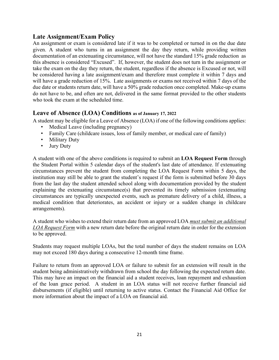#### <span id="page-20-0"></span>**Late Assignment/Exam Policy**

An assignment or exam is considered late if it was to be completed or turned in on the due date given. A student who turns in an assignment the day they return, while providing written documentation of an extenuating circumstance, will not have the standard 15% grade reduction as this absence is considered "Excused". If, however, the student does not turn in the assignment or take the exam on the day they return, the student, regardless if the absence is Excused or not, will be considered having a late assignment/exam and therefore must complete it within 7 days and will have a grade reduction of 15%. Late assignments or exams not received within 7 days of the due date or students return date, will have a 50% grade reduction once completed. Make-up exams do not have to be, and often are not, delivered in the same format provided to the other students who took the exam at the scheduled time.

#### **Leave of Absence (LOA) Conditions as of January 17, 2022**

<span id="page-20-1"></span>A student may be eligible for a Leave of Absence (LOA) if one of the following conditions applies:

- Medical Leave (including pregnancy)
- Family Care (childcare issues, loss of family member, or medical care of family)
- Military Duty
- Jury Duty

A student with one of the above conditions is required to submit an **LOA Request Form** through the Student Portal within 5 calendar days of the student's last date of attendance. If extenuating circumstances prevent the student from completing the LOA Request Form within 5 days, the institution may still be able to grant the student's request if the form is submitted before 30 days from the last day the student attended school along with documentation provided by the student explaining the extenuating circumstance(s) that prevented its timely submission (extenuating circumstances are typically unexpected events, such as premature delivery of a child, illness, a medical condition that deteriorates, an accident or injury or a sudden change in childcare arrangements).

A student who wishes to extend their return date from an approved LOA *must submit an additional LOA Request Form* with a new return date before the original return date in order for the extension to be approved.

Students may request multiple LOAs, but the total number of days the student remains on LOA may not exceed 180 days during a consecutive 12‐month time frame.

Failure to return from an approved LOA or failure to submit for an extension will result in the student being administratively withdrawn from school the day following the expected return date. This may have an impact on the financial aid a student receives, loan repayment and exhaustion of the loan grace period. A student in an LOA status will not receive further financial aid disbursements (if eligible) until returning to active status. Contact the Financial Aid Office for more information about the impact of a LOA on financial aid.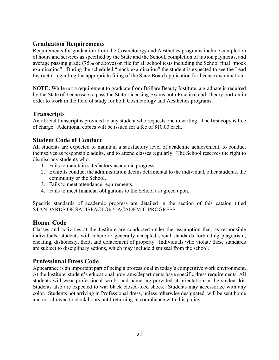#### **Graduation Requirements**

Requirements for graduation from the Cosmetology and Aesthetics programs include completion of hours and services as specified by the State and the School, completion of tuition payments, and average passing grade (75% or above) on file for all school tests including the School final "mock examination". During the scheduled "mock examination" the student is expected to see the Lead Instructor regarding the appropriate filing of the State Board application for license examination.

**NOTE:** While not a requirement to graduate from Brillare Beauty Institute, a graduate is required by the State of Tennessee to pass the State Licensing Exams both Practical and Theory portion in order to work in the field of study for both Cosmetology and Aesthetics programs.

#### **Transcripts**

An official transcript is provided to any student who requests one in writing. The first copy is free of charge. Additional copies will be issued for a fee of \$10.00 each.

#### <span id="page-21-0"></span>**Student Code of Conduct**

All students are expected to maintain a satisfactory level of academic achievement, to conduct themselves as responsible adults, and to attend classes regularly. The School reserves the right to dismiss any students who:

- 1. Fails to maintain satisfactory academic progress.
- 2. Exhibits conduct the administration deems detrimental to the individual, other students, the community or the School.
- 3. Fails to meet attendance requirements.
- 4. Fails to meet financial obligations to the School as agreed upon.

Specific standards of academic progress are detailed in the section of this catalog titled STANDARDS OF SATISFACTORY ACADEMIC PROGRESS.

#### <span id="page-21-1"></span>**Honor Code**

Classes and activities at the Institute are conducted under the assumption that, as responsible individuals, students will adhere to generally accepted social standards forbidding plagiarism, cheating, dishonesty, theft, and defacement of property. Individuals who violate these standards are subject to disciplinary actions, which may include dismissal from the school.

#### **Professional Dress Code**

<span id="page-21-2"></span>Appearance is an important part of being a professional in today's competitive work environment. At the Institute, student's educational programs/departments have specific dress requirements. All students will wear professional scrubs and name tag provided at orientation in the student kit. Students also are expected to war black closed-toed shoes. Students may accessorize with any color. Students not arriving in Professional dress, unless otherwise designated, will be sent home and not allowed to clock hours until returning in compliance with this policy.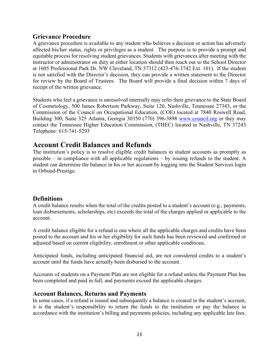#### **Grievance Procedure**

A grievance procedure is available to any student who believes a decision or action has adversely affected his/her status, rights or privileges as a student. The purpose is to provide a prompt and equitable process for resolving student grievances. Students with grievances after meeting with the instructor or administrator on duty at either location should then reach out to the School Director at 1605 Professional Park Dr. NW Cleveland, TN 37312 (423-476-3742 Ext. 101). If the student is not satisfied with the Director's decision, they can provide a written statement to the Director for review by the Board of Trustees. The Board will provide a final decision within 7 days of receipt of the written grievance.

Students who feel a grievance is unresolved internally may refer their grievance to the State Board of Cosmetology, 500 James Robertson Parkway, Suite 120, Nashville, Tennessee 27343, or the Commission of the Council on Occupational Education, (COE) located at 7840 Roswell Road, Building 300, Suite 325 Atlanta, Georgia 30350 (770) 396-3898 [www.council.org](http://www.council.org/) or they may contact the Tennessee Higher Education Commission, (THEC) located in Nashville, TN 37243 Telephone: 615-741-5293

#### <span id="page-22-0"></span>**Account Credit Balances and Refunds**

The institution's policy is to resolve eligible credit balances in student accounts as promptly as possible – in compliance with all applicable regulations – by issuing refunds to the student. A student can determine the balance in his or her account by logging into the Student Services login in Orbund-Prestige.

#### **Definitions**

A credit balance results when the total of the credits posted to a student's account (e.g., payments, loan disbursements, scholarships, etc) exceeds the total of the charges applied or applicable to the account.

A credit balance eligible for a refund is one where all the applicable charges and credits have been posted to the account and his or her eligibility for such funds has been reviewed and confirmed or adjusted based on current eligibility, enrollment or other applicable conditions.

Anticipated funds, including anticipated financial aid, are not considered credits to a student's account until the funds have actually been disbursed to the account.

Accounts of students on a Payment Plan are not eligible for a refund unless the Payment Plan has been completed and paid in full, and payments exceed the applicable charges.

#### **Account Balances, Returns and Payments**

In some cases, if a refund is issued and subsequently a balance is created in the student's account, it is the student's responsibility to return the funds to the institution or pay the balance in accordance with the institution's billing and payments policies, including any applicable late fees.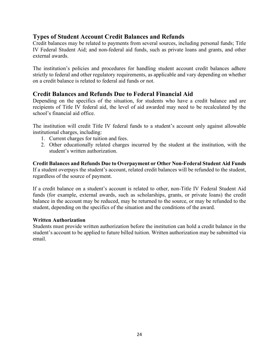#### **Types of Student Account Credit Balances and Refunds**

Credit balances may be related to payments from several sources, including personal funds; Title IV Federal Student Aid; and non-federal aid funds, such as private loans and grants, and other external awards.

The institution's policies and procedures for handling student account credit balances adhere strictly to federal and other regulatory requirements, as applicable and vary depending on whether on a credit balance is related to federal aid funds or not.

#### <span id="page-23-0"></span>**Credit Balances and Refunds Due to Federal Financial Aid**

Depending on the specifics of the situation, for students who have a credit balance and are recipients of Title IV federal aid, the level of aid awarded may need to be recalculated by the school's financial aid office.

The institution will credit Title IV federal funds to a student's account only against allowable institutional charges, including:

- 1. Current charges for tuition and fees.
- 2. Other educationally related charges incurred by the student at the institution, with the student's written authorization.

**Credit Balances and Refunds Due to Overpayment or Other Non-Federal Student Aid Funds**  If a student overpays the student's account, related credit balances will be refunded to the student, regardless of the source of payment.

If a credit balance on a student's account is related to other, non-Title IV Federal Student Aid funds (for example, external awards, such as scholarships, grants, or private loans) the credit balance in the account may be reduced, may be returned to the source, or may be refunded to the student, depending on the specifics of the situation and the conditions of the award.

#### **Written Authorization**

Students must provide written authorization before the institution can hold a credit balance in the student's account to be applied to future billed tuition. Written authorization may be submitted via email.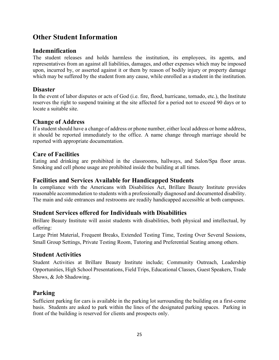#### <span id="page-24-0"></span>**Other Student Information**

#### **Indemnification**

The student releases and holds harmless the institution, its employees, its agents, and representatives from an against all liabilities, damages, and other expenses which may be imposed upon, incurred by, or asserted against it or them by reason of bodily injury or property damage which may be suffered by the student from any cause, while enrolled as a student in the institution.

#### **Disaster**

In the event of labor disputes or acts of God (i.e. fire, flood, hurricane, tornado, etc.), the Institute reserves the right to suspend training at the site affected for a period not to exceed 90 days or to locate a suitable site.

#### **Change of Address**

If a student should have a change of address or phone number, either local address or home address, it should be reported immediately to the office. A name change through marriage should be reported with appropriate documentation.

#### **Care of Facilities**

Eating and drinking are prohibited in the classrooms, hallways, and Salon/Spa floor areas. Smoking and cell phone usage are prohibited inside the building at all times.

#### **Facilities and Services Available for Handicapped Students**

In compliance with the Americans with Disabilities Act, Brillare Beauty Institute provides reasonable accommodation to students with a professionally diagnosed and documented disability. The main and side entrances and restrooms are readily handicapped accessible at both campuses.

#### **Student Services offered for Individuals with Disabilities**

Brillare Beauty Institute will assist students with disabilities, both physical and intellectual, by offering:

Large Print Material, Frequent Breaks, Extended Testing Time, Testing Over Several Sessions, Small Group Settings, Private Testing Room, Tutoring and Preferential Seating among others.

#### **Student Activities**

Student Activities at Brillare Beauty Institute include; Community Outreach, Leadership Opportunities, High School Presentations, Field Trips, Educational Classes, Guest Speakers, Trade Shows, & Job Shadowing.

#### **Parking**

Sufficient parking for cars is available in the parking lot surrounding the building on a first-come basis. Students are asked to park within the lines of the designated parking spaces. Parking in front of the building is reserved for clients and prospects only.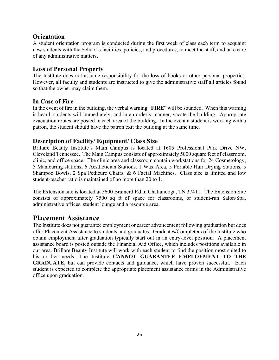#### **Orientation**

A student orientation program is conducted during the first week of class each term to acquaint new students with the School's facilities, policies, and procedures, to meet the staff, and take care of any administrative matters.

#### **Loss of Personal Property**

The Institute does not assume responsibility for the loss of books or other personal properties. However, all faculty and students are instructed to give the administrative staff all articles found so that the owner may claim them.

#### **In Case of Fire**

In the event of fire in the building, the verbal warning "**FIRE**" will be sounded. When this warning is heard, students will immediately, and in an orderly manner, vacate the building. Appropriate evacuation routes are posted in each area of the building. In the event a student is working with a patron, the student should have the patron exit the building at the same time.

#### **Description of Facility/ Equipment/ Class Size**

Brillare Beauty Institute's Main Campus is located at 1605 Professional Park Drive NW, Cleveland Tennessee. The Main Campus consists of approximately 5000 square feet of classroom, clinic, and office space. The clinic area and classroom contain workstations for 24 Cosmetology, 5 Manicuring stations, 6 Aesthetician Stations, 1 Wax Area, 5 Portable Hair Drying Stations, 5 Shampoo Bowls, 2 Spa Pedicure Chairs, & 6 Facial Machines. Class size is limited and low student-teacher ratio is maintained of no more than 20 to 1.

The Extension site is located at 5600 Brainerd Rd in Chattanooga, TN 37411. The Extension Site consists of approximately 7500 sq ft of space for classrooms, or student-run Salon/Spa, administrative offices, student lounge and a resource area.

#### <span id="page-25-0"></span>**Placement Assistance**

The Institute does not guarantee employment or career advancement following graduation but does offer Placement Assistance to students and graduates. Graduates/Completers of the Institute who obtain employment after graduation typically start out in an entry-level position. A placement assistance board is posted outside the Financial Aid Office, which includes positions available in our area. Brillare Beauty Institute will work with each student to find the position most suited to his or her needs. The Institute **CANNOT GUARANTEE EMPLOYMENT TO THE GRADUATE,** but can provide contacts and guidance, which have proven successful. Each student is expected to complete the appropriate placement assistance forms in the Administrative office upon graduation.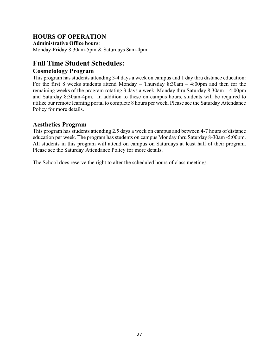#### **HOURS OF OPERATION**

**Administrative Office hours**: Monday-Friday 8:30am-5pm & Saturdays 8am-4pm

#### **Full Time Student Schedules:**

#### **Cosmetology Program**

This program has students attending 3-4 days a week on campus and 1 day thru distance education: For the first 8 weeks students attend Monday – Thursday 8:30am – 4:00pm and then for the remaining weeks of the program rotating 3 days a week, Monday thru Saturday 8:30am – 4:00pm and Saturday 8:30am-4pm. In addition to these on campus hours, students will be required to utilize our remote learning portal to complete 8 hours per week. Please see the Saturday Attendance Policy for more details.

#### **Aesthetics Program**

This program has students attending 2.5 days a week on campus and between 4-7 hours of distance education per week. The program has students on campus Monday thru Saturday 8-30am -5:00pm. All students in this program will attend on campus on Saturdays at least half of their program. Please see the Saturday Attendance Policy for more details.

The School does reserve the right to alter the scheduled hours of class meetings.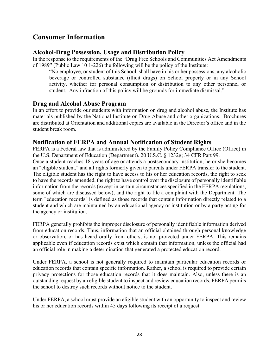#### <span id="page-27-0"></span>**Consumer Information**

#### <span id="page-27-1"></span>**Alcohol-Drug Possession, Usage and Distribution Policy**

In the response to the requirements of the "Drug Free Schools and Communities Act Amendments of 1989" (Public Law 10 1-226) the following will be the policy of the Institute:

"No employee, or student of this School, shall have in his or her possessions, any alcoholic beverage or controlled substance (illicit drugs) on School property or in any School activity, whether for personal consumption or distribution to any other personnel or student. Any infraction of this policy will be grounds for immediate dismissal."

#### **Drug and Alcohol Abuse Program**

In an effort to provide our students with information on drug and alcohol abuse, the Institute has materials published by the National Institute on Drug Abuse and other organizations. Brochures are distributed at Orientation and additional copies are available in the Director's office and in the student break room.

#### <span id="page-27-2"></span>**Notification of FERPA and Annual Notification of Student Rights**

FERPA is a Federal law that is administered by the Family Policy Compliance Office (Office) in the U.S. Department of Education (Department). 20 U.S.C. § 1232g; 34 CFR Part 99.

Once a student reaches 18 years of age or attends a postsecondary institution, he or she becomes an "eligible student," and all rights formerly given to parents under FERPA transfer to the student. The eligible student has the right to have access to his or her education records, the right to seek to have the records amended, the right to have control over the disclosure of personally identifiable information from the records (except in certain circumstances specified in the FERPA regulations, some of which are discussed below), and the right to file a complaint with the Department. The term "education records" is defined as those records that contain information directly related to a student and which are maintained by an educational agency or institution or by a party acting for the agency or institution.

FERPA generally prohibits the improper disclosure of personally identifiable information derived from education records. Thus, information that an official obtained through personal knowledge or observation, or has heard orally from others, is not protected under FERPA. This remains applicable even if education records exist which contain that information, unless the official had an official role in making a determination that generated a protected education record.

Under FERPA, a school is not generally required to maintain particular education records or education records that contain specific information. Rather, a school is required to provide certain privacy protections for those education records that it does maintain. Also, unless there is an outstanding request by an eligible student to inspect and review education records, FERPA permits the school to destroy such records without notice to the student.

Under FERPA, a school must provide an eligible student with an opportunity to inspect and review his or her education records within 45 days following its receipt of a request.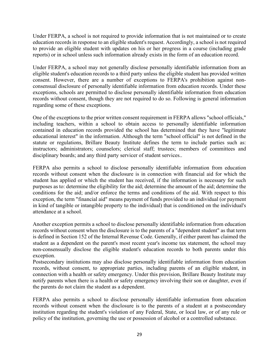Under FERPA, a school is not required to provide information that is not maintained or to create education records in response to an eligible student's request. Accordingly, a school is not required to provide an eligible student with updates on his or her progress in a course (including grade reports) or in school unless such information already exists in the form of an education record.

Under FERPA, a school may not generally disclose personally identifiable information from an eligible student's education records to a third party unless the eligible student has provided written consent. However, there are a number of exceptions to FERPA's prohibition against nonconsensual disclosure of personally identifiable information from education records. Under these exceptions, schools are permitted to disclose personally identifiable information from education records without consent, though they are not required to do so. Following is general information regarding some of these exceptions.

One of the exceptions to the prior written consent requirement in FERPA allows "school officials," including teachers, within a school to obtain access to personally identifiable information contained in education records provided the school has determined that they have "legitimate educational interest" in the information. Although the term "school official" is not defined in the statute or regulations, Brillare Beauty Institute defines the term to include parties such as: instructors; administrators; counselors; clerical staff; trustees; members of committees and disciplinary boards; and any third party servicer of student services..

FERPA also permits a school to disclose personally identifiable information from education records without consent when the disclosure is in connection with financial aid for which the student has applied or which the student has received, if the information is necessary for such purposes as to: determine the eligibility for the aid; determine the amount of the aid; determine the conditions for the aid; and/or enforce the terms and conditions of the aid. With respect to this exception, the term "financial aid" means payment of funds provided to an individual (or payment in kind of tangible or intangible property to the individual) that is conditioned on the individual's attendance at a school.

Another exception permits a school to disclose personally identifiable information from education records without consent when the disclosure is to the parents of a "dependent student" as that term is defined in Section 152 of the Internal Revenue Code. Generally, if either parent has claimed the student as a dependent on the parent's most recent year's income tax statement, the school may non-consensually disclose the eligible student's education records to both parents under this exception.

Postsecondary institutions may also disclose personally identifiable information from education records, without consent, to appropriate parties, including parents of an eligible student, in connection with a health or safety emergency. Under this provision, Brillare Beauty Institute may notify parents when there is a health or safety emergency involving their son or daughter, even if the parents do not claim the student as a dependent.

FERPA also permits a school to disclose personally identifiable information from education records without consent when the disclosure is to the parents of a student at a postsecondary institution regarding the student's violation of any Federal, State, or local law, or of any rule or policy of the institution, governing the use or possession of alcohol or a controlled substance.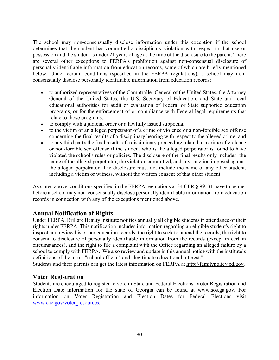The school may non-consensually disclose information under this exception if the school determines that the student has committed a disciplinary violation with respect to that use or possession and the student is under 21 years of age at the time of the disclosure to the parent. There are several other exceptions to FERPA's prohibition against non-consensual disclosure of personally identifiable information from education records, some of which are briefly mentioned below. Under certain conditions (specified in the FERPA regulations), a school may nonconsensually disclose personally identifiable information from education records:

- to authorized representatives of the Comptroller General of the United States, the Attorney General of the United States, the U.S. Secretary of Education, and State and local educational authorities for audit or evaluation of Federal or State supported education programs, or for the enforcement of or compliance with Federal legal requirements that relate to those programs;
- to comply with a judicial order or a lawfully issued subpoena;
- to the victim of an alleged perpetrator of a crime of violence or a non-forcible sex offense concerning the final results of a disciplinary hearing with respect to the alleged crime; and
- to any third party the final results of a disciplinary proceeding related to a crime of violence or non-forcible sex offense if the student who is the alleged perpetrator is found to have violated the school's rules or policies. The disclosure of the final results only includes: the name of the alleged perpetrator, the violation committed, and any sanction imposed against the alleged perpetrator. The disclosure must not include the name of any other student, including a victim or witness, without the written consent of that other student.

As stated above, conditions specified in the FERPA regulations at 34 CFR § 99. 31 have to be met before a school may non-consensually disclose personally identifiable information from education records in connection with any of the exceptions mentioned above.

#### <span id="page-29-0"></span>**Annual Notification of Rights**

Under FERPA, Brillare Beauty Institute notifies annually all eligible students in attendance of their rights under FERPA. This notification includes information regarding an eligible student's right to inspect and review his or her education records, the right to seek to amend the records, the right to consent to disclosure of personally identifiable information from the records (except in certain circumstances), and the right to file a complaint with the Office regarding an alleged failure by a school to comply with FERPA. We also review and update in this annual notice with the institute's definitions of the terms "school official" and "legitimate educational interest."

Students and their parents can get the latest information on FERPA at [http://familypolicy.ed.gov.](http://familypolicy.ed.gov/)

#### <span id="page-29-1"></span>**Voter Registration**

Students are encouraged to register to vote in State and Federal Elections. Voter Registration and Election Date information for the state of Georgia can be found at www.sos.ga.gov. For information on Voter Registration and Election Dates for Federal Elections visit [www.eac.gov/voter\\_resources.](http://www.eac.gov/voter_resources)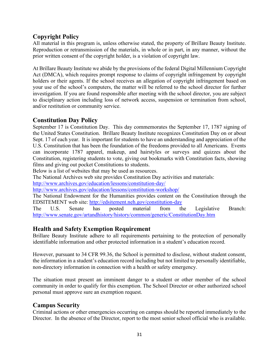#### <span id="page-30-0"></span>**Copyright Policy**

All material in this program is, unless otherwise stated, the property of Brillare Beauty Institute. Reproduction or retransmission of the materials, in whole or in part, in any manner, without the prior written consent of the copyright holder, is a violation of copyright law.

At Brillare Beauty Institute we abide by the provisions of the federal Digital Millennium Copyright Act (DMCA), which requires prompt response to claims of copyright infringement by copyright holders or their agents. If the school receives an allegation of copyright infringement based on your use of the school's computers, the matter will be referred to the school director for further investigation. If you are found responsible after meeting with the school director, you are subject to disciplinary action including loss of network access, suspension or termination from school, and/or restitution or community service.

#### <span id="page-30-1"></span>**Constitution Day Policy**

September 17 is Constitution Day. This day commemorates the September 17, 1787 signing of the United States Constitution. Brillare Beauty Institute recognizes Constitution Day on or about Sept. 17 of each year. It is important for students to have an understanding and appreciation of the U.S. Constitution that has been the foundation of the freedoms provided to all Americans. Events can incorporate 1787 apparel, makeup, and hairstyles or surveys and quizzes about the Constitution, registering students to vote, giving out bookmarks with Constitution facts, showing films and giving out pocket Constitutions to students.

Below is a list of websites that may be used as resources.

The National Archives web site provides Constitution Day activities and materials:

<http://www.archives.gov/education/lessons/constitution-day/>

<http://www.archives.gov/education/lessons/constitution-workshop/>

The National Endowment for the Humanities provides content on the Constitution through the EDSITEMENT web site:<http://edsitement.neh.gov/constitution-day>

The U.S. Senate has posted material from the Legislative Branch: <http://www.senate.gov/artandhistory/history/common/generic/ConstitutionDay.htm>

#### <span id="page-30-2"></span>**Health and Safety Exemption Requirement**

Brillare Beauty Institute adhere to all requirements pertaining to the protection of personally identifiable information and other protected information in a student's education record.

However, pursuant to 34 CFR 99.36, the School is permitted to disclose, without student consent, the information in a student's education record including but not limited to personally identifiable, non-directory information in connection with a health or safety emergency.

The situation must present an imminent danger to a student or other member of the school community in order to qualify for this exemption. The School Director or other authorized school personal must approve sure an exemption request.

#### <span id="page-30-3"></span>**Campus Security**

Criminal actions or other emergencies occurring on campus should be reported immediately to the Director. In the absence of the Director, report to the most senior school official who is available.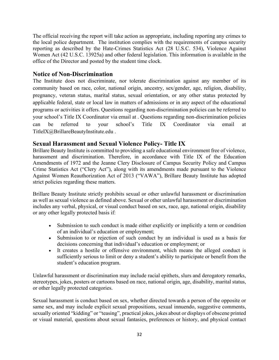The official receiving the report will take action as appropriate, including reporting any crimes to the local police department. The institution complies with the requirements of campus security reporting as described by the Hate-Crimes Statistics Act (28 U.S.C. 534), Violence Against Women Act (42 U.S.C. 13925a) and other federal legislation. This information is available in the office of the Director and posted by the student time clock.

#### <span id="page-31-0"></span>**Notice of Non-Discrimination**

The Institute does not discriminate, nor tolerate discrimination against any member of its community based on race, color, national origin, ancestry, sex/gender, age, religion, disability, pregnancy, veteran status, marital status, sexual orientation, or any other status protected by applicable federal, state or local law in matters of admissions or in any aspect of the educational programs or activities it offers. Questions regarding non-discrimination policies can be referred to your school's Title IX Coordinator via email at [. Questions regarding non-discrimination policies](mailto:TitleIX@BrillareBeautyInstitute.edu)  [can be referred to your school's Title IX Coordinator via email at](mailto:TitleIX@BrillareBeautyInstitute.edu)  [TitleIX@BrillareBeautyInstitute.edu .](mailto:TitleIX@BrillareBeautyInstitute.edu) 

#### <span id="page-31-1"></span>**Sexual Harassment and Sexual Violence Policy- Title IX**

Brillare Beauty Institute is committed to providing a safe educational environment free of violence, harassment and discrimination. Therefore, in accordance with Title IX of the Education Amendments of 1972 and the Jeanne Clery Disclosure of Campus Security Policy and Campus Crime Statistics Act ("Clery Act"), along with its amendments made pursuant to the Violence Against Women Reauthorization Act of 2013 ("VAWA"), Brillare Beauty Institute has adopted strict policies regarding these matters.

Brillare Beauty Institute strictly prohibits sexual or other unlawful harassment or discrimination as well as sexual violence as defined above. Sexual or other unlawful harassment or discrimination includes any verbal, physical, or visual conduct based on sex, race, age, national origin, disability or any other legally protected basis if:

- Submission to such conduct is made either explicitly or implicitly a term or condition of an individual's education or employment;
- Submission to or rejection of such conduct by an individual is used as a basis for decisions concerning that individual's education or employment; or
- It creates a hostile or offensive environment, which means the alleged conduct is sufficiently serious to limit or deny a student's ability to participate or benefit from the student's education program.

Unlawful harassment or discrimination may include racial epithets, slurs and derogatory remarks, stereotypes, jokes, posters or cartoons based on race, national origin, age, disability, marital status, or other legally protected categories.

Sexual harassment is conduct based on sex, whether directed towards a person of the opposite or same sex, and may include explicit sexual propositions, sexual innuendo, suggestive comments, sexually oriented "kidding" or "teasing", practical jokes, jokes about or displays of obscene printed or visual material, questions about sexual fantasies, preferences or history, and physical contact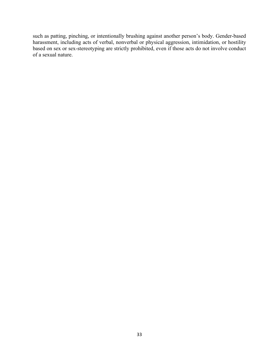such as patting, pinching, or intentionally brushing against another person's body. Gender-based harassment, including acts of verbal, nonverbal or physical aggression, intimidation, or hostility based on sex or sex-stereotyping are strictly prohibited, even if those acts do not involve conduct of a sexual nature.